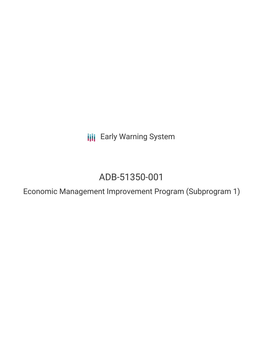**III** Early Warning System

# ADB-51350-001

Economic Management Improvement Program (Subprogram 1)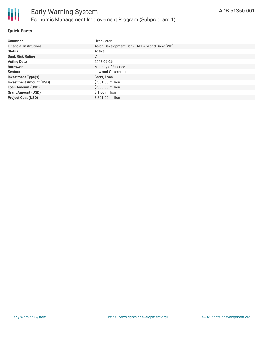

#### **Quick Facts**

| <b>Countries</b>               | Uzbekistan                                    |
|--------------------------------|-----------------------------------------------|
| <b>Financial Institutions</b>  | Asian Development Bank (ADB), World Bank (WB) |
| <b>Status</b>                  | Active                                        |
| <b>Bank Risk Rating</b>        | C                                             |
| <b>Voting Date</b>             | 2018-06-26                                    |
| <b>Borrower</b>                | Ministry of Finance                           |
| <b>Sectors</b>                 | Law and Government                            |
| <b>Investment Type(s)</b>      | Grant, Loan                                   |
| <b>Investment Amount (USD)</b> | \$301.00 million                              |
| <b>Loan Amount (USD)</b>       | \$300.00 million                              |
| <b>Grant Amount (USD)</b>      | $$1.00$ million                               |
| <b>Project Cost (USD)</b>      | \$801.00 million                              |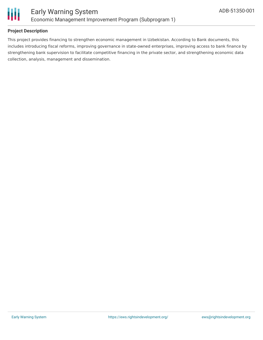

#### **Project Description**

This project provides financing to strengthen economic management in Uzbekistan. According to Bank documents, this includes introducing fiscal reforms, improving governance in state-owned enterprises, improving access to bank finance by strengthening bank supervision to facilitate competitive financing in the private sector, and strengthening economic data collection, analysis, management and dissemination.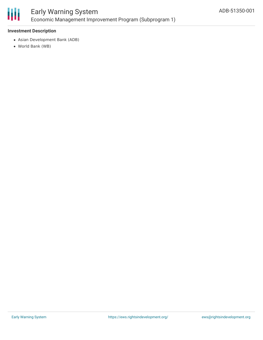

## Early Warning System Economic Management Improvement Program (Subprogram 1)

#### **Investment Description**

- Asian Development Bank (ADB)
- World Bank (WB)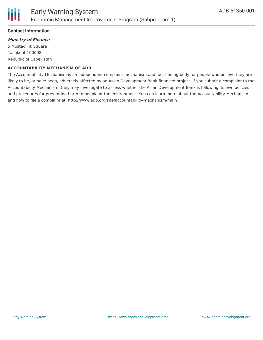#### **Contact Information**

### **Ministry of Finance**

5 Mustaqiliik Square Tashkent 100008 Republic of Uzbekistan

#### **ACCOUNTABILITY MECHANISM OF ADB**

The Accountability Mechanism is an independent complaint mechanism and fact-finding body for people who believe they are likely to be, or have been, adversely affected by an Asian Development Bank-financed project. If you submit a complaint to the Accountability Mechanism, they may investigate to assess whether the Asian Development Bank is following its own policies and procedures for preventing harm to people or the environment. You can learn more about the Accountability Mechanism and how to file a complaint at: http://www.adb.org/site/accountability-mechanism/main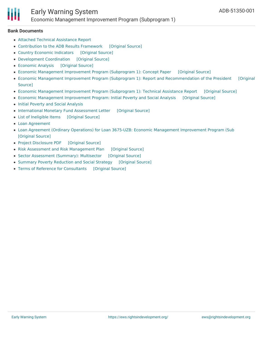## Early Warning System Economic Management Improvement Program (Subprogram 1)

#### **Bank Documents**

- Attached Technical [Assistance](https://www.adb.org/projects/documents/uzb-51350-001-rrp) Report
- [Contribution](https://ewsdata.rightsindevelopment.org/files/documents/01/ADB-51350-001_0w0t9Vu.pdf) to the ADB Results Framework [\[Original](https://www.adb.org/projects/documents/uzb-51350-001-rrp) Source]
- Country Economic [Indicators](https://ewsdata.rightsindevelopment.org/files/documents/01/ADB-51350-001_e2okIRM.pdf) [\[Original](https://www.adb.org/projects/documents/uzb-51350-001-rrp) Source]
- [Development](https://ewsdata.rightsindevelopment.org/files/documents/01/ADB-51350-001_71MS6Gy.pdf) Coordination [\[Original](https://www.adb.org/projects/documents/uzb-51350-001-rrp) Source]
- [Economic](https://ewsdata.rightsindevelopment.org/files/documents/01/ADB-51350-001_T8xOF3A.pdf) Analysis [\[Original](https://www.adb.org/projects/documents/uzb-51350-001-rrp) Source]
- Economic Management [Improvement](https://ewsdata.rightsindevelopment.org/files/documents/01/ADB-51350-001_HifGqcl.pdf) Program (Subprogram 1): Concept Paper [\[Original](https://www.adb.org/projects/documents/uzb-51350-001-cp) Source]
- Economic Management Improvement Program (Subprogram 1): Report and [Recommendation](https://ewsdata.rightsindevelopment.org/files/documents/01/ADB-51350-001_ime9WSt.pdf) of the President [Original Source]
- Economic Management [Improvement](https://ewsdata.rightsindevelopment.org/files/documents/01/ADB-51350-001_W9cTV8D.pdf) Program (Subprogram 1): Technical Assistance Report [\[Original](https://www.adb.org/projects/documents/uzb-51350-001-tar) Source]
- Economic Management [Improvement](https://ewsdata.rightsindevelopment.org/files/documents/01/ADB-51350-001_vfEBAow.pdf) Program: Initial Poverty and Social Analysis [\[Original](https://www.adb.org/projects/documents/uzb-51350-001-ipsa) Source]
- Initial Poverty and Social [Analysis](https://www.adb.org/projects/documents/uzb-51350-001-cp)
- [International](https://ewsdata.rightsindevelopment.org/files/documents/01/ADB-51350-001_goTRwJb.pdf) Monetary Fund Assessment Letter [\[Original](https://www.adb.org/projects/documents/uzb-51350-001-rrp) Source]
- List of [Ineligible](https://ewsdata.rightsindevelopment.org/files/documents/01/ADB-51350-001_dNLLr2t.pdf) Items [\[Original](https://www.adb.org/projects/documents/uzb-51350-001-rrp) Source]
- Loan [Agreement](https://www.adb.org/projects/documents/uzb-51350-001-rrp)
- Loan Agreement (Ordinary Operations) for Loan 3675-UZB: Economic Management [Improvement](https://ewsdata.rightsindevelopment.org/files/documents/01/ADB-51350-001_tIUlJde.pdf) Program (Sub [\[Original](https://www.adb.org/projects/documents/uzb-51350-001-lna) Source]
- Project [Disclosure](https://ewsdata.rightsindevelopment.org/files/documents/01/ADB-51350-001.pdf) PDF [\[Original](https://www.adb.org/printpdf/projects/51350-001/main) Source]
- Risk Assessment and Risk [Management](https://ewsdata.rightsindevelopment.org/files/documents/01/ADB-51350-001_uDWQHvK.pdf) Plan [\[Original](https://www.adb.org/projects/documents/uzb-51350-001-rrp) Source]
- Sector [Assessment](https://ewsdata.rightsindevelopment.org/files/documents/01/ADB-51350-001_7BZkGKd.pdf) (Summary): Multisector [\[Original](https://www.adb.org/projects/documents/uzb-51350-001-rrp) Source]
- Summary Poverty [Reduction](https://ewsdata.rightsindevelopment.org/files/documents/01/ADB-51350-001_3bLwHlh.pdf) and Social Strategy [\[Original](https://www.adb.org/projects/documents/uzb-51350-001-rrp) Source]
- Terms of Reference for [Consultants](https://ewsdata.rightsindevelopment.org/files/documents/01/ADB-51350-001_2v8q5RQ.pdf) [\[Original](https://www.adb.org/projects/documents/uzb-51350-001-tar) Source]